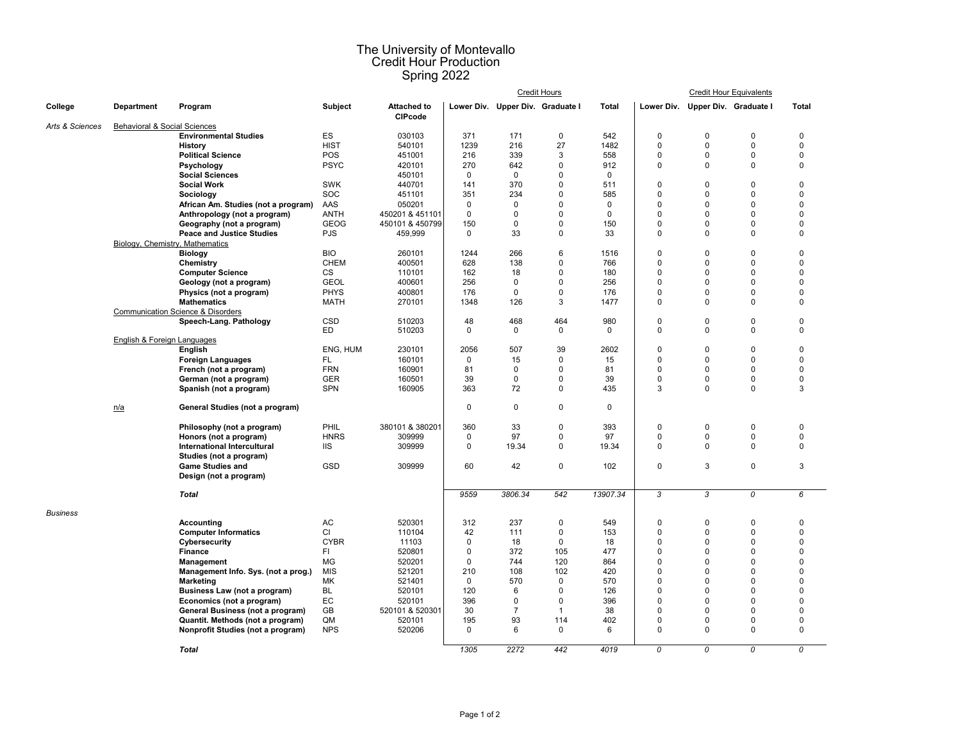## The University of Montevallo Credit Hour Production Spring 2022

|                 | <b>Department</b>               | Program                                                            |             |                                      |                    |                                  | <b>Credit Hours</b>  |             |                            | <b>Credit Hour Equivalents</b> |                            |                            |
|-----------------|---------------------------------|--------------------------------------------------------------------|-------------|--------------------------------------|--------------------|----------------------------------|----------------------|-------------|----------------------------|--------------------------------|----------------------------|----------------------------|
| College         |                                 |                                                                    | Subject     | <b>Attached to</b><br><b>CIPcode</b> |                    | Lower Div. Upper Div. Graduate I |                      | Total       | Lower Div.                 | Upper Div. Graduate I          |                            | <b>Total</b>               |
| Arts & Sciences | Behavioral & Social Sciences    |                                                                    |             |                                      |                    |                                  |                      |             |                            |                                |                            |                            |
|                 |                                 | <b>Environmental Studies</b>                                       | ES          | 030103                               | 371                | 171                              | 0                    | 542         | $\pmb{0}$                  | $\mathbf 0$                    | $\mathbf 0$                | $\mathbf 0$                |
|                 |                                 | <b>History</b>                                                     | <b>HIST</b> | 540101                               | 1239               | 216                              | 27                   | 1482        | $\mathbf 0$                | 0                              | $\mathbf 0$                | $\mathbf 0$                |
|                 |                                 | <b>Political Science</b>                                           | POS         | 451001                               | 216                | 339                              | 3                    | 558         | $\Omega$                   | $\Omega$                       | $\mathbf 0$                | $\mathbf 0$                |
|                 |                                 | Psychology                                                         | <b>PSYC</b> | 420101                               | 270                | 642                              | $\mathbf 0$          | 912         | $\mathbf 0$                | 0                              | $\mathbf 0$                | $\mathbf 0$                |
|                 |                                 | <b>Social Sciences</b>                                             |             | 450101                               | $\mathbf 0$        | $\mathbf 0$                      | 0                    | $\mathbf 0$ |                            |                                |                            |                            |
|                 |                                 | <b>Social Work</b>                                                 | <b>SWK</b>  | 440701                               | 141                | 370                              | 0                    | 511         | $\mathbf 0$                | $\Omega$                       | $\Omega$                   | $\mathbf 0$                |
|                 |                                 | Sociology                                                          | SOC         | 451101                               | 351                | 234                              | 0                    | 585         | $\Omega$                   | $\Omega$                       | $\mathbf 0$                | $\mathbf 0$                |
|                 |                                 | African Am. Studies (not a program)                                | AAS         | 050201                               | $\mathbf 0$        | $\pmb{0}$                        | $\Omega$             | $\mathbf 0$ | $\mathbf 0$                | $\Omega$                       | $\Omega$                   | $\mathbf 0$                |
|                 |                                 | Anthropology (not a program)                                       | <b>ANTH</b> | 450201 & 451101                      | $\mathbf 0$        | $\mathbf 0$                      | 0                    | $\pmb{0}$   | $\mathbf 0$                | $\Omega$                       | $\mathbf 0$                | $\mathbf 0$                |
|                 |                                 | Geography (not a program)                                          | <b>GEOG</b> | 450101 & 450799                      | 150<br>$\mathbf 0$ | $\mathbf 0$<br>33                | $\Omega$<br>$\Omega$ | 150         | $\mathbf 0$<br>$\mathbf 0$ | $\Omega$<br>0                  | $\mathbf 0$<br>$\mathbf 0$ | $\mathbf 0$<br>$\mathbf 0$ |
|                 |                                 | <b>Peace and Justice Studies</b>                                   | <b>PJS</b>  | 459,999                              |                    |                                  |                      | 33          |                            |                                |                            |                            |
|                 | Biology, Chemistry, Mathematics |                                                                    |             |                                      |                    | 266                              | 6                    |             | $\mathbf 0$                | $\Omega$                       | $\mathbf 0$                | $\mathbf 0$                |
|                 |                                 | <b>Biology</b>                                                     | <b>BIO</b>  | 260101                               | 1244               |                                  | $\Omega$             | 1516        |                            |                                | $\Omega$                   | $\Omega$                   |
|                 |                                 | Chemistry                                                          | <b>CHEM</b> | 400501                               | 628                | 138<br>18                        | $\Omega$             | 766         | $\Omega$<br>$\Omega$       | $\Omega$<br>$\Omega$           | $\mathbf 0$                | $\Omega$                   |
|                 |                                 | <b>Computer Science</b>                                            | СS          | 110101                               | 162                | $\mathbf 0$                      | $\Omega$             | 180<br>256  | $\Omega$                   | $\Omega$                       | $\mathbf 0$                | 0                          |
|                 |                                 | Geology (not a program)                                            | <b>GEOL</b> | 400601                               | 256                | $\Omega$                         | $\mathbf 0$          | 176         | $\Omega$                   | $\Omega$                       | $\Omega$                   | $\Omega$                   |
|                 |                                 | Physics (not a program)                                            | <b>PHYS</b> | 400801                               | 176                |                                  | 3                    |             | 0                          | $\Omega$                       | $\mathbf 0$                | 0                          |
|                 |                                 | <b>Mathematics</b><br><b>Communication Science &amp; Disorders</b> | MATH        | 270101                               | 1348               | 126                              |                      | 1477        |                            |                                |                            |                            |
|                 |                                 | Speech-Lang. Pathology                                             | <b>CSD</b>  | 510203                               | 48                 | 468                              | 464                  | 980         | $\mathbf 0$                | 0                              | $\mathbf 0$                | $\mathbf 0$                |
|                 |                                 |                                                                    | ED          | 510203                               | $\Omega$           | $\Omega$                         | 0                    | $\Omega$    | $\mathbf 0$                | $\Omega$                       | $\Omega$                   | $\Omega$                   |
|                 | English & Foreign Languages     |                                                                    |             |                                      |                    |                                  |                      |             |                            |                                |                            |                            |
|                 |                                 | English                                                            | ENG, HUM    | 230101                               | 2056               | 507                              | 39                   | 2602        | $\Omega$                   | $\Omega$                       | $\Omega$                   | $\mathbf 0$                |
|                 |                                 | <b>Foreign Languages</b>                                           | FL.         | 160101                               | $\mathbf 0$        | 15                               | $\mathbf 0$          | 15          | $\mathbf 0$                | $\Omega$                       | $\mathbf 0$                | $\mathbf 0$                |
|                 |                                 | French (not a program)                                             | <b>FRN</b>  | 160901                               | 81                 | $\mathbf{0}$                     | 0                    | 81          | $\Omega$                   | $\Omega$                       | $\mathbf 0$                | $\Omega$                   |
|                 |                                 | German (not a program)                                             | <b>GER</b>  | 160501                               | 39                 | $\pmb{0}$                        | 0                    | 39          | $\mathbf 0$                | 0                              | $\mathsf 0$                | $\pmb{0}$                  |
|                 |                                 | Spanish (not a program)                                            | <b>SPN</b>  | 160905                               | 363                | 72                               | 0                    | 435         | 3                          | $\Omega$                       | $\mathsf 0$                | $\mathbf{3}$               |
|                 |                                 |                                                                    |             |                                      |                    |                                  |                      |             |                            |                                |                            |                            |
|                 | n/a                             | General Studies (not a program)                                    |             |                                      | $\mathbf 0$        | $\pmb{0}$                        | 0                    | $\mathbf 0$ |                            |                                |                            |                            |
|                 |                                 | Philosophy (not a program)                                         | PHIL        | 380101 & 380201                      | 360                | 33                               | 0                    | 393         | $\pmb{0}$                  | $\mathbf 0$                    | $\pmb{0}$                  | $\pmb{0}$                  |
|                 |                                 | Honors (not a program)                                             | <b>HNRS</b> | 309999                               | $\mathbf 0$        | 97                               | 0                    | 97          | $\mathbf 0$                | 0                              | $\mathbf 0$                | $\pmb{0}$                  |
|                 |                                 | International Intercultural                                        | <b>IIS</b>  | 309999                               | $\mathbf 0$        | 19.34                            | 0                    | 19.34       | 0                          | $\Omega$                       | $\mathbf 0$                | $\mathbf 0$                |
|                 |                                 | Studies (not a program)                                            |             |                                      |                    |                                  |                      |             |                            |                                |                            |                            |
|                 |                                 | <b>Game Studies and</b>                                            | <b>GSD</b>  | 309999                               | 60                 | 42                               | 0                    | 102         | $\pmb{0}$                  | 3                              | $\mathsf 0$                | $\mathbf{3}$               |
|                 |                                 | Design (not a program)                                             |             |                                      |                    |                                  |                      |             |                            |                                |                            |                            |
|                 |                                 | <b>Total</b>                                                       |             |                                      | 9559               | 3806.34                          | 542                  | 13907.34    | 3                          | 3                              | $\overline{\mathbf{c}}$    | 6                          |
| <b>Business</b> |                                 |                                                                    |             |                                      |                    |                                  |                      |             |                            |                                |                            |                            |
|                 |                                 | Accounting                                                         | AC          | 520301                               | 312                | 237                              | 0                    | 549         | $\mathbf 0$                | $\mathbf 0$                    | $\mathbf 0$                | $\mathbf 0$                |
|                 |                                 | <b>Computer Informatics</b>                                        | CI          | 110104                               | 42                 | 111                              | 0                    | 153         | $\pmb{0}$                  | $\Omega$                       | $\mathbf 0$                | $\mathbf 0$                |
|                 |                                 | Cybersecurity                                                      | <b>CYBR</b> | 11103                                | $\mathsf 0$        | 18                               | $\mathbf 0$          | 18          | $\Omega$                   | $\Omega$                       | $\mathbf 0$                | $\mathbf 0$                |
|                 |                                 | <b>Finance</b>                                                     | FI.         | 520801                               | $\mathbf 0$        | 372                              | 105                  | 477         | $\mathbf 0$                | $\Omega$                       | $\mathbf 0$                | $\mathbf 0$                |
|                 |                                 | Management                                                         | MG          | 520201                               | $\mathbf 0$        | 744                              | 120                  | 864         | $\Omega$                   | $\Omega$                       | $\mathbf 0$                | $\mathbf 0$                |
|                 |                                 | Management Info. Sys. (not a prog.)                                | <b>MIS</b>  | 521201                               | 210                | 108                              | 102                  | 420         | $\Omega$                   | $\Omega$                       | $\mathbf 0$                | $\Omega$                   |
|                 |                                 | <b>Marketing</b>                                                   | МK          | 521401                               | $\mathbf 0$        | 570                              | 0                    | 570         | $\Omega$                   | $\Omega$                       | $\mathbf 0$                | $\mathbf 0$                |
|                 |                                 | Business Law (not a program)                                       | <b>BL</b>   | 520101                               | 120                | 6                                | $\Omega$             | 126         | $\Omega$                   | $\Omega$                       | $\Omega$                   | $\Omega$                   |
|                 |                                 | Economics (not a program)                                          | EC          | 520101                               | 396                | $\mathbf 0$                      | 0                    | 396         | $\Omega$                   | $\Omega$                       | $\mathbf 0$                | $\mathbf 0$                |
|                 |                                 | General Business (not a program)                                   | GB          | 520101 & 520301                      | 30                 | $\overline{7}$                   | $\mathbf{1}$         | 38          | $\Omega$                   | $\Omega$                       | $\mathbf 0$                | $\mathbf 0$                |
|                 |                                 | Quantit. Methods (not a program)                                   | QM          | 520101                               | 195                | 93                               | 114                  | 402         | $\mathbf 0$                | 0                              | $\mathbf 0$                | $\mathbf 0$                |
|                 |                                 | Nonprofit Studies (not a program)                                  | <b>NPS</b>  | 520206                               | $\mathbf 0$        | 6                                | $\mathbf 0$          | 6           | $\mathbf 0$                | $\Omega$                       | $\mathbf 0$                | $\mathbf 0$                |
|                 |                                 | <b>Total</b>                                                       |             |                                      | 1305               | 2272                             | 442                  | 4019        | $\overline{0}$             | $\overline{0}$                 | $\overline{0}$             | $\overline{0}$             |